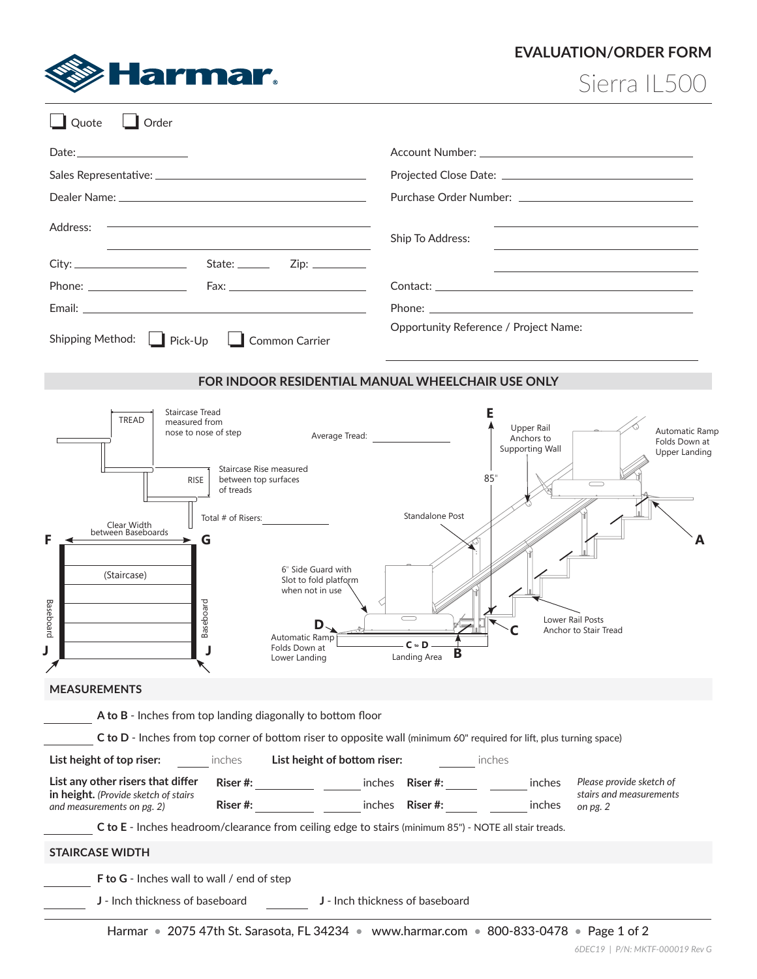

## **EVALUATION/ORDER FORM**

Sierra IL500

| Quote<br>Order                                                                                                                                                                                                                                                                                                                                                                                     |                                                                                                                                                                                                                                                             |
|----------------------------------------------------------------------------------------------------------------------------------------------------------------------------------------------------------------------------------------------------------------------------------------------------------------------------------------------------------------------------------------------------|-------------------------------------------------------------------------------------------------------------------------------------------------------------------------------------------------------------------------------------------------------------|
|                                                                                                                                                                                                                                                                                                                                                                                                    |                                                                                                                                                                                                                                                             |
|                                                                                                                                                                                                                                                                                                                                                                                                    |                                                                                                                                                                                                                                                             |
|                                                                                                                                                                                                                                                                                                                                                                                                    |                                                                                                                                                                                                                                                             |
| Address:                                                                                                                                                                                                                                                                                                                                                                                           | Ship To Address:                                                                                                                                                                                                                                            |
|                                                                                                                                                                                                                                                                                                                                                                                                    |                                                                                                                                                                                                                                                             |
|                                                                                                                                                                                                                                                                                                                                                                                                    |                                                                                                                                                                                                                                                             |
|                                                                                                                                                                                                                                                                                                                                                                                                    |                                                                                                                                                                                                                                                             |
|                                                                                                                                                                                                                                                                                                                                                                                                    | Opportunity Reference / Project Name:                                                                                                                                                                                                                       |
| Shipping Method:<br>$\Box$ Pick-Up $\Box$ Common Carrier                                                                                                                                                                                                                                                                                                                                           |                                                                                                                                                                                                                                                             |
| FOR INDOOR RESIDENTIAL MANUAL WHEELCHAIR USE ONLY                                                                                                                                                                                                                                                                                                                                                  |                                                                                                                                                                                                                                                             |
| Staircase Tread<br><b>TREAD</b><br>measured from<br>nose to nose of step<br>Staircase Rise measured<br>between top surfaces<br><b>RISE</b><br>of treads<br>Total # of Risers:<br>Clear Width<br>between Baseboards<br>G<br>6" Side Guard with<br>(Staircase)<br>Slot to fold platform<br>when not in use<br>Baseboard<br><b>Baseboard</b><br>D<br>Automatic Ramp<br>Folds Down at<br>Lower Landing | Е<br>Upper Rail<br><b>Automatic Ramp</b><br>Average Tread:<br>Anchors to<br>Folds Down at<br>Supporting Wall<br>Upper Landing<br>85"<br>Standalone Post<br>Lower Rail Posts<br>Anchor to Stair Tread<br>– C to D<br>в<br>Landing Area                       |
| <b>MEASUREMENTS</b>                                                                                                                                                                                                                                                                                                                                                                                |                                                                                                                                                                                                                                                             |
| A to B - Inches from top landing diagonally to bottom floor                                                                                                                                                                                                                                                                                                                                        |                                                                                                                                                                                                                                                             |
| C to D - Inches from top corner of bottom riser to opposite wall (minimum 60" required for lift, plus turning space)                                                                                                                                                                                                                                                                               |                                                                                                                                                                                                                                                             |
| List height of top riser:<br>inches <b>List height of bottom riser: Example 20 inches</b>                                                                                                                                                                                                                                                                                                          |                                                                                                                                                                                                                                                             |
| List any other risers that differ<br>in height. (Provide sketch of stairs<br>and measurements on pg. 2)                                                                                                                                                                                                                                                                                            | Riser #: ___________ ________ inches Riser #: ______ _________ inches<br>Please provide sketch of<br>stairs and measurements<br>Riser #: The Riser #: The Property of The Property and The Property and The Property and The Property and The P<br>on pg. 2 |
| C to E - Inches headroom/clearance from ceiling edge to stairs (minimum 85") - NOTE all stair treads.                                                                                                                                                                                                                                                                                              |                                                                                                                                                                                                                                                             |
| <b>STAIRCASE WIDTH</b>                                                                                                                                                                                                                                                                                                                                                                             |                                                                                                                                                                                                                                                             |
| F to G - Inches wall to wall / end of step                                                                                                                                                                                                                                                                                                                                                         |                                                                                                                                                                                                                                                             |
| J - Inch thickness of baseboard<br>J - Inch thickness of baseboard                                                                                                                                                                                                                                                                                                                                 |                                                                                                                                                                                                                                                             |
|                                                                                                                                                                                                                                                                                                                                                                                                    | Harmar • 2075 47th St. Sarasota, FL 34234 • www.harmar.com • 800-833-0478 • Page 1 of 2                                                                                                                                                                     |